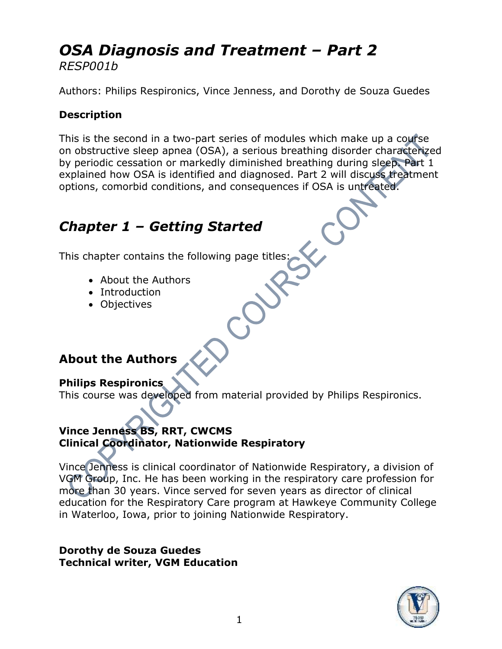### *OSA Diagnosis and Treatment – Part 2 RESP001b*

Authors: Philips Respironics, Vince Jenness, and Dorothy de Souza Guedes

#### **Description**

This is the second in a two-part series of modules which make up a course on obstructive sleep apnea (OSA), a serious breathing disorder characterized by periodic cessation or markedly diminished breathing during sleep. Part 1 explained how OSA is identified and diagnosed. Part 2 will discuss treatment options, comorbid conditions, and consequences if OSA is untreated.

## *Chapter 1 – Getting Started*

This chapter contains the following page titles:

- About the Authors
- Introduction
- Objectives

#### **About the Authors**

#### **Philips Respironics**

This course was developed from material provided by Philips Respironics.

#### **Vince Jenness BS, RRT, CWCMS Clinical Coordinator, Nationwide Respiratory**

Vince Jenness is clinical coordinator of Nationwide Respiratory, a division of VGM Group, Inc. He has been working in the respiratory care profession for more than 30 years. Vince served for seven years as director of clinical education for the Respiratory Care program at Hawkeye Community College in Waterloo, Iowa, prior to joining Nationwide Respiratory.

#### **Dorothy de Souza Guedes Technical writer, VGM Education**

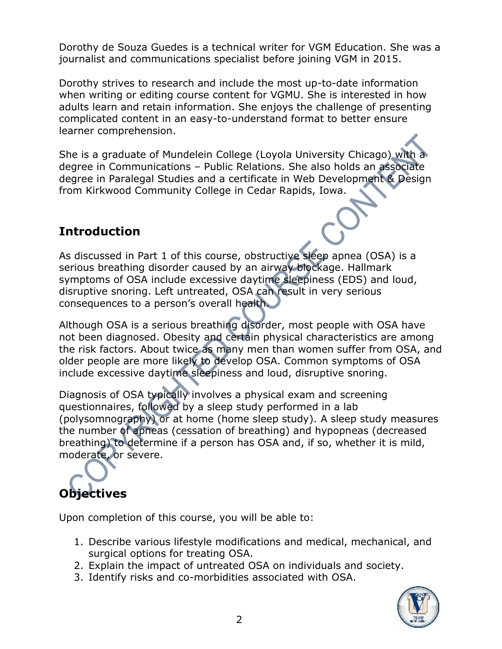Dorothy de Souza Guedes is a technical writer for VGM Education. She was a journalist and communications specialist before joining VGM in 2015.

Dorothy strives to research and include the most up-to-date information when writing or editing course content for VGMU. She is interested in how adults learn and retain information. She enjoys the challenge of presenting complicated content in an easy-to-understand format to better ensure learner comprehension.

She is a graduate of Mundelein College (Loyola University Chicago) with a degree in Communications – Public Relations. She also holds an associate degree in Paralegal Studies and a certificate in Web Development & Design from Kirkwood Community College in Cedar Rapids, Iowa.

#### **Introduction**

As discussed in Part 1 of this course, obstructive sleep apnea (OSA) is a serious breathing disorder caused by an airway blockage. Hallmark symptoms of OSA include excessive daytime sleepiness (EDS) and loud, disruptive snoring. Left untreated, OSA can result in very serious consequences to a person's overall health.

Although OSA is a serious breathing disorder, most people with OSA have not been diagnosed. Obesity and certain physical characteristics are among the risk factors. About twice as many men than women suffer from OSA, and older people are more likely to develop OSA. Common symptoms of OSA include excessive daytime sleepiness and loud, disruptive snoring.

Diagnosis of OSA typically involves a physical exam and screening questionnaires, followed by a sleep study performed in a lab (polysomnography) or at home (home sleep study). A sleep study measures the number of apneas (cessation of breathing) and hypopneas (decreased breathing) to determine if a person has OSA and, if so, whether it is mild, moderate, or severe.

# **Objectives**

Upon completion of this course, you will be able to:

- 1. Describe various lifestyle modifications and medical, mechanical, and surgical options for treating OSA.
- 2. Explain the impact of untreated OSA on individuals and society.
- 3. Identify risks and co-morbidities associated with OSA.

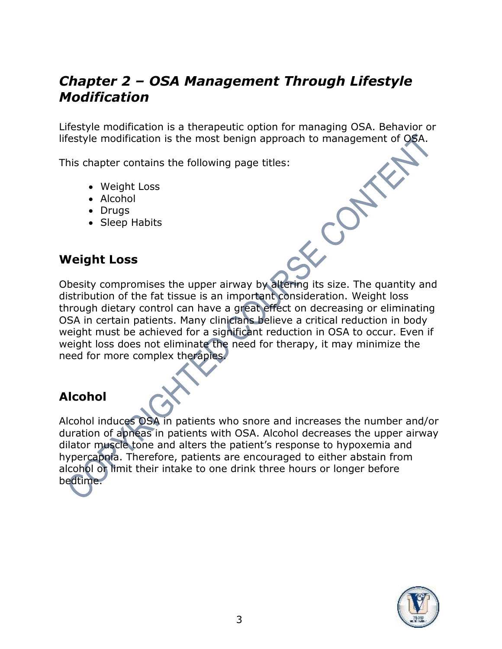## *Chapter 2 – OSA Management Through Lifestyle Modification*

Lifestyle modification is a therapeutic option for managing OSA. Behavior or lifestyle modification is the most benign approach to management of OSA.

This chapter contains the following page titles:

- Weight Loss
- Alcohol
- Drugs
- Sleep Habits

#### **Weight Loss**

Obesity compromises the upper airway by altering its size. The quantity and distribution of the fat tissue is an important consideration. Weight loss through dietary control can have a great effect on decreasing or eliminating OSA in certain patients. Many clinicians believe a critical reduction in body weight must be achieved for a significant reduction in OSA to occur. Even if weight loss does not eliminate the need for therapy, it may minimize the need for more complex therapies.

#### **Alcohol**

Alcohol induces OSA in patients who snore and increases the number and/or duration of apneas in patients with OSA. Alcohol decreases the upper airway dilator muscle tone and alters the patient's response to hypoxemia and hypercapnia. Therefore, patients are encouraged to either abstain from alcohol or limit their intake to one drink three hours or longer before bedtime.

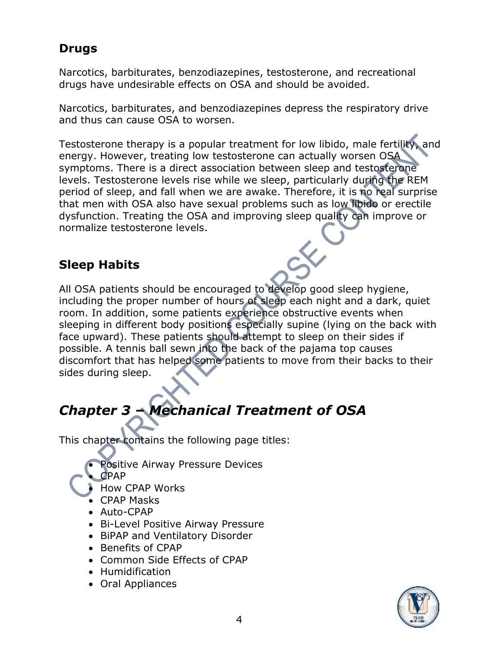#### **Drugs**

Narcotics, barbiturates, benzodiazepines, testosterone, and recreational drugs have undesirable effects on OSA and should be avoided.

Narcotics, barbiturates, and benzodiazepines depress the respiratory drive and thus can cause OSA to worsen.

Testosterone therapy is a popular treatment for low libido, male fertility, and energy. However, treating low testosterone can actually worsen OSA symptoms. There is a direct association between sleep and testosterone levels. Testosterone levels rise while we sleep, particularly during the REM period of sleep, and fall when we are awake. Therefore, it is no real surprise that men with OSA also have sexual problems such as low libido or erectile dysfunction. Treating the OSA and improving sleep quality can improve or normalize testosterone levels.

#### **Sleep Habits**

All OSA patients should be encouraged to develop good sleep hygiene, including the proper number of hours of sleep each night and a dark, quiet room. In addition, some patients experience obstructive events when sleeping in different body positions especially supine (lying on the back with face upward). These patients should attempt to sleep on their sides if possible. A tennis ball sewn into the back of the pajama top causes discomfort that has helped some patients to move from their backs to their sides during sleep.

# *Chapter 3 – Mechanical Treatment of OSA*

This chapter contains the following page titles:

- Positive Airway Pressure Devices
- CPAP
	- How CPAP Works
	- CPAP Masks
	- Auto-CPAP
	- Bi-Level Positive Airway Pressure
	- BiPAP and Ventilatory Disorder
	- Benefits of CPAP
	- Common Side Effects of CPAP
	- Humidification
	- Oral Appliances

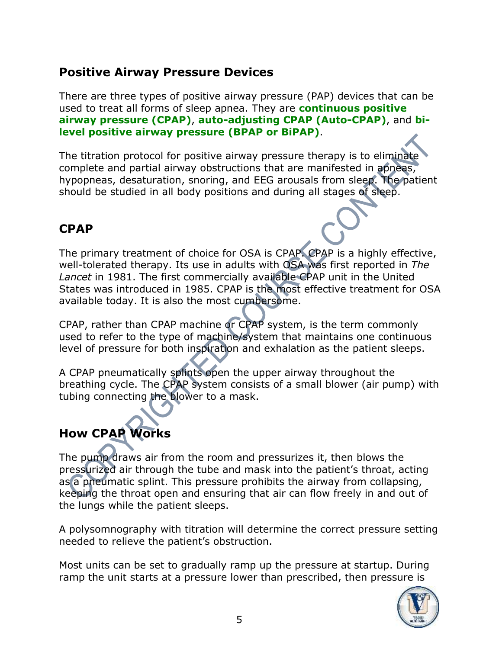#### **Positive Airway Pressure Devices**

There are three types of positive airway pressure (PAP) devices that can be used to treat all forms of sleep apnea. They are **continuous positive airway pressure (CPAP)**, **auto-adjusting CPAP (Auto-CPAP)**, and **bilevel positive airway pressure (BPAP or BiPAP)**.

The titration protocol for positive airway pressure therapy is to eliminate complete and partial airway obstructions that are manifested in apneas, hypopneas, desaturation, snoring, and EEG arousals from sleep. The patient should be studied in all body positions and during all stages of sleep.

#### **CPAP**

The primary treatment of choice for OSA is CPAP. CPAP is a highly effective, well-tolerated therapy. Its use in adults with OSA was first reported in *The*  Lancet in 1981. The first commercially available CPAP unit in the United States was introduced in 1985. CPAP is the most effective treatment for OSA available today. It is also the most cumbersome.

CPAP, rather than CPAP machine or CPAP system, is the term commonly used to refer to the type of machine/system that maintains one continuous level of pressure for both inspiration and exhalation as the patient sleeps.

A CPAP pneumatically splints open the upper airway throughout the breathing cycle. The CPAP system consists of a small blower (air pump) with tubing connecting the blower to a mask.

## **How CPAP Works**

The pump draws air from the room and pressurizes it, then blows the pressurized air through the tube and mask into the patient's throat, acting as a pneumatic splint. This pressure prohibits the airway from collapsing, keeping the throat open and ensuring that air can flow freely in and out of the lungs while the patient sleeps.

A polysomnography with titration will determine the correct pressure setting needed to relieve the patient's obstruction.

Most units can be set to gradually ramp up the pressure at startup. During ramp the unit starts at a pressure lower than prescribed, then pressure is

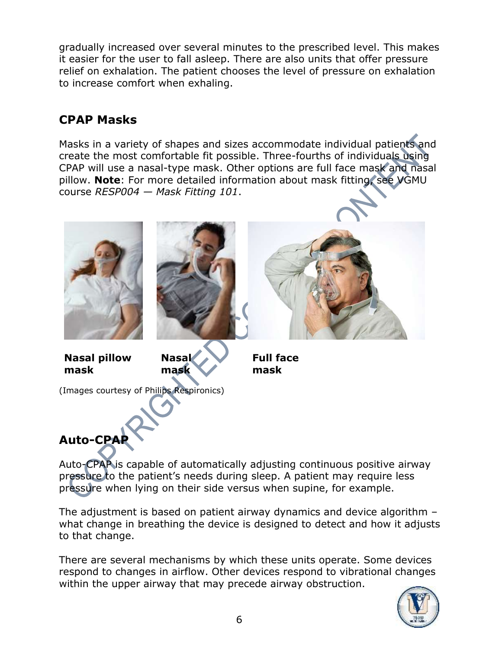gradually increased over several minutes to the prescribed level. This makes it easier for the user to fall asleep. There are also units that offer pressure relief on exhalation. The patient chooses the level of pressure on exhalation to increase comfort when exhaling.

#### **CPAP Masks**

Masks in a variety of shapes and sizes accommodate individual patients and create the most comfortable fit possible. Three-fourths of individuals using CPAP will use a nasal-type mask. Other options are full face mask and nasal pillow. **Note**: For more detailed information about mask fitting, see VGMU course *RESP004 — Mask Fitting 101*.



Auto-CPAP is capable of automatically adjusting continuous positive airway pressure to the patient's needs during sleep. A patient may require less pressure when lying on their side versus when supine, for example.

The adjustment is based on patient airway dynamics and device algorithm – what change in breathing the device is designed to detect and how it adjusts to that change.

There are several mechanisms by which these units operate. Some devices respond to changes in airflow. Other devices respond to vibrational changes within the upper airway that may precede airway obstruction.

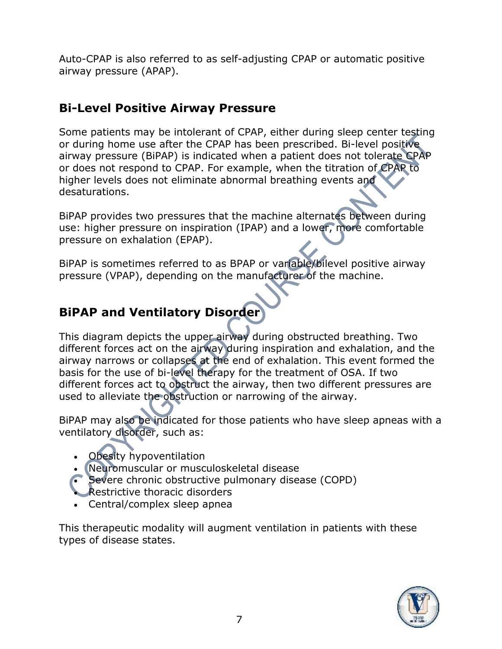Auto-CPAP is also referred to as self-adjusting CPAP or automatic positive airway pressure (APAP).

#### **Bi-Level Positive Airway Pressure**

Some patients may be intolerant of CPAP, either during sleep center testing or during home use after the CPAP has been prescribed. Bi-level positive airway pressure (BiPAP) is indicated when a patient does not tolerate CPAP or does not respond to CPAP. For example, when the titration of CPAP to higher levels does not eliminate abnormal breathing events and desaturations.

BiPAP provides two pressures that the machine alternates between during use: higher pressure on inspiration (IPAP) and a lower, more comfortable pressure on exhalation (EPAP).

BiPAP is sometimes referred to as BPAP or variable/bilevel positive airway pressure (VPAP), depending on the manufacturer of the machine.

### **BiPAP and Ventilatory Disorder**

This diagram depicts the upper airway during obstructed breathing. Two different forces act on the airway during inspiration and exhalation, and the airway narrows or collapses at the end of exhalation. This event formed the basis for the use of bi-level therapy for the treatment of OSA. If two different forces act to obstruct the airway, then two different pressures are used to alleviate the obstruction or narrowing of the airway.

BiPAP may also be indicated for those patients who have sleep apneas with a ventilatory disorder, such as:

- **Obesity hypoventilation**
- Neuromuscular or musculoskeletal disease
- Severe chronic obstructive pulmonary disease (COPD)
- **Restrictive thoracic disorders**
- Central/complex sleep apnea

This therapeutic modality will augment ventilation in patients with these types of disease states.

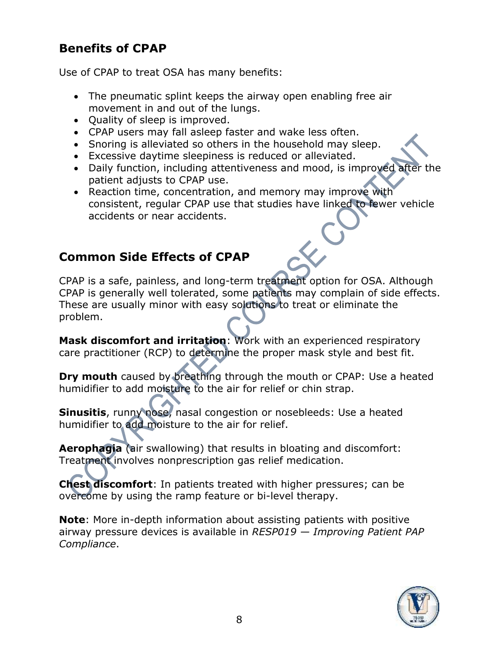#### **Benefits of CPAP**

Use of CPAP to treat OSA has many benefits:

- The pneumatic splint keeps the airway open enabling free air movement in and out of the lungs.
- Quality of sleep is improved.
- CPAP users may fall asleep faster and wake less often.
- Snoring is alleviated so others in the household may sleep.
- Excessive daytime sleepiness is reduced or alleviated.
- Daily function, including attentiveness and mood, is improved after the patient adjusts to CPAP use.
- Reaction time, concentration, and memory may improve with consistent, regular CPAP use that studies have linked to fewer vehicle accidents or near accidents.

#### **Common Side Effects of CPAP**

CPAP is a safe, painless, and long-term treatment option for OSA. Although CPAP is generally well tolerated, some patients may complain of side effects. These are usually minor with easy solutions to treat or eliminate the problem.

**Mask discomfort and irritation**: Work with an experienced respiratory care practitioner (RCP) to determine the proper mask style and best fit.

**Dry mouth** caused by breathing through the mouth or CPAP: Use a heated humidifier to add moisture to the air for relief or chin strap.

**Sinusitis**, runny nose, nasal congestion or nosebleeds: Use a heated humidifier to add moisture to the air for relief.

**Aerophagia** (air swallowing) that results in bloating and discomfort: Treatment involves nonprescription gas relief medication.

**Chest discomfort**: In patients treated with higher pressures; can be overcome by using the ramp feature or bi-level therapy.

**Note**: More in-depth information about assisting patients with positive airway pressure devices is available in *RESP019 — Improving Patient PAP Compliance*.

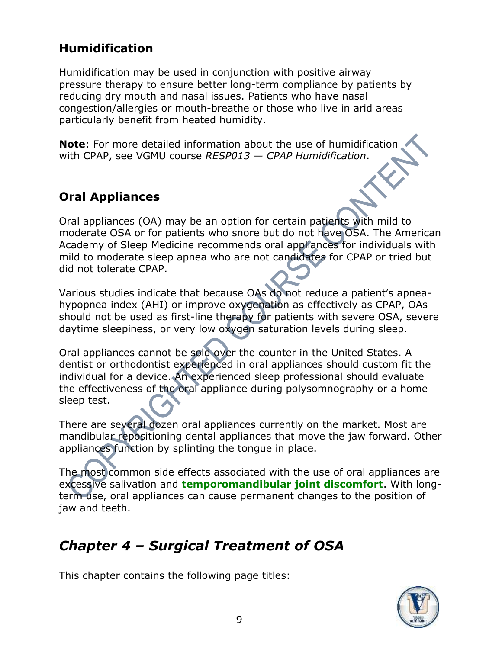#### **Humidification**

Humidification may be used in conjunction with positive airway pressure therapy to ensure better long-term compliance by patients by reducing dry mouth and nasal issues. Patients who have nasal congestion/allergies or mouth-breathe or those who live in arid areas particularly benefit from heated humidity.

**Note**: For more detailed information about the use of humidification with CPAP, see VGMU course *RESP013 — CPAP Humidification*.

#### **Oral Appliances**

Oral appliances (OA) may be an option for certain patients with mild to moderate OSA or for patients who snore but do not have OSA. The American Academy of Sleep Medicine recommends oral appliances for individuals with mild to moderate sleep apnea who are not candidates for CPAP or tried but did not tolerate CPAP.

Various studies indicate that because OAs do not reduce a patient's apneahypopnea index (AHI) or improve oxygenation as effectively as CPAP, OAs should not be used as first-line therapy for patients with severe OSA, severe daytime sleepiness, or very low oxygen saturation levels during sleep.

Oral appliances cannot be sold over the counter in the United States. A dentist or orthodontist experienced in oral appliances should custom fit the individual for a device. An experienced sleep professional should evaluate the effectiveness of the oral appliance during polysomnography or a home sleep test.

There are several dozen oral appliances currently on the market. Most are mandibular repositioning dental appliances that move the jaw forward. Other appliances function by splinting the tongue in place.

The most common side effects associated with the use of oral appliances are excessive salivation and **temporomandibular joint discomfort**. With longterm use, oral appliances can cause permanent changes to the position of jaw and teeth.

## *Chapter 4 – Surgical Treatment of OSA*

This chapter contains the following page titles:

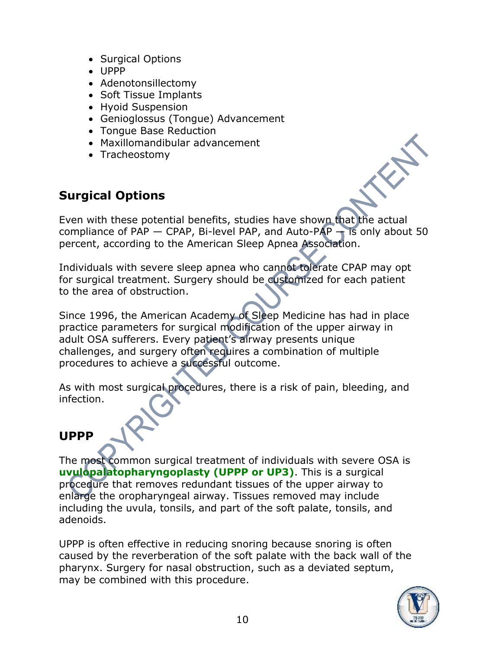- Surgical Options
- UPPP
- Adenotonsillectomy
- Soft Tissue Implants
- Hyoid Suspension
- Genioglossus (Tongue) Advancement
- Tongue Base Reduction
- Maxillomandibular advancement
- Tracheostomy

#### **Surgical Options**

Even with these potential benefits, studies have shown that the actual compliance of PAP  $-$  CPAP, Bi-level PAP, and Auto-PAP  $-$  is only about 50 percent, according to the American Sleep Apnea Association.

Individuals with severe sleep apnea who cannot tolerate CPAP may opt for surgical treatment. Surgery should be customized for each patient to the area of obstruction.

Since 1996, the American Academy of Sleep Medicine has had in place practice parameters for surgical modification of the upper airway in adult OSA sufferers. Every patient's airway presents unique challenges, and surgery often requires a combination of multiple procedures to achieve a successful outcome.

As with most surgical procedures, there is a risk of pain, bleeding, and infection.

#### **UPPP**

The most common surgical treatment of individuals with severe OSA is **uvulopalatopharyngoplasty (UPPP or UP3)**. This is a surgical procedure that removes redundant tissues of the upper airway to enlarge the oropharyngeal airway. Tissues removed may include including the uvula, tonsils, and part of the soft palate, tonsils, and adenoids.

UPPP is often effective in reducing snoring because snoring is often caused by the reverberation of the soft palate with the back wall of the pharynx. Surgery for nasal obstruction, such as a deviated septum, may be combined with this procedure.

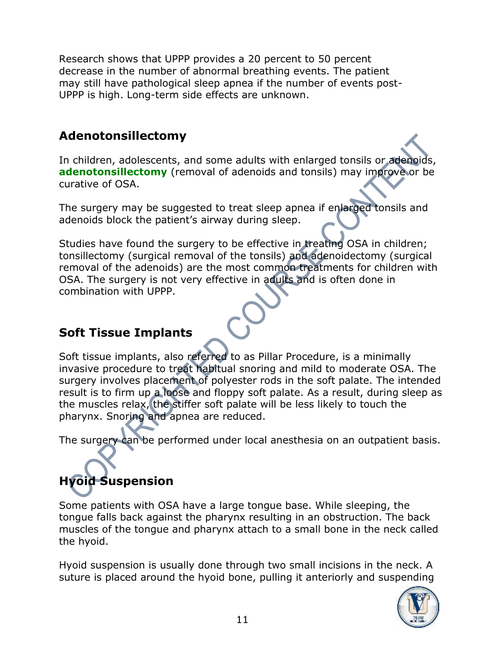Research shows that UPPP provides a 20 percent to 50 percent decrease in the number of abnormal breathing events. The patient may still have pathological sleep apnea if the number of events post-UPPP is high. Long-term side effects are unknown.

#### **Adenotonsillectomy**

In children, adolescents, and some adults with enlarged tonsils or adenoids, **adenotonsillectomy** (removal of adenoids and tonsils) may improve or be curative of OSA.

The surgery may be suggested to treat sleep apnea if enlarged tonsils and adenoids block the patient's airway during sleep.

Studies have found the surgery to be effective in treating OSA in children; tonsillectomy (surgical removal of the tonsils) and adenoidectomy (surgical removal of the adenoids) are the most common treatments for children with OSA. The surgery is not very effective in adults and is often done in combination with UPPP.

#### **Soft Tissue Implants**

Soft tissue implants, also referred to as Pillar Procedure, is a minimally invasive procedure to treat habitual snoring and mild to moderate OSA. The surgery involves placement of polyester rods in the soft palate. The intended result is to firm up a loose and floppy soft palate. As a result, during sleep as the muscles relax, the stiffer soft palate will be less likely to touch the pharynx. Snoring and apnea are reduced.

The surgery can be performed under local anesthesia on an outpatient basis.

# **Hyoid Suspension**

Some patients with OSA have a large tongue base. While sleeping, the tongue falls back against the pharynx resulting in an obstruction. The back muscles of the tongue and pharynx attach to a small bone in the neck called the hyoid.

Hyoid suspension is usually done through two small incisions in the neck. A suture is placed around the hyoid bone, pulling it anteriorly and suspending

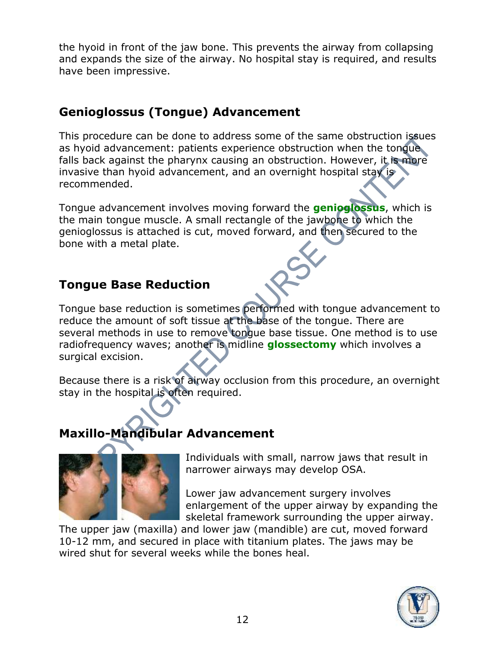the hyoid in front of the jaw bone. This prevents the airway from collapsing and expands the size of the airway. No hospital stay is required, and results have been impressive.

#### **Genioglossus (Tongue) Advancement**

This procedure can be done to address some of the same obstruction issues as hyoid advancement: patients experience obstruction when the tongue falls back against the pharynx causing an obstruction. However, it is more invasive than hyoid advancement, and an overnight hospital stay is recommended.

Tongue advancement involves moving forward the **genioglossus**, which is the main tongue muscle. A small rectangle of the jawbone to which the genioglossus is attached is cut, moved forward, and then secured to the bone with a metal plate.

#### **Tongue Base Reduction**

Tongue base reduction is sometimes performed with tongue advancement to reduce the amount of soft tissue at the base of the tongue. There are several methods in use to remove tongue base tissue. One method is to use radiofrequency waves; another is midline **glossectomy** which involves a surgical excision.

Because there is a risk of airway occlusion from this procedure, an overnight stay in the hospital is often required.

## **Maxillo-Mandibular Advancement**



Individuals with small, narrow jaws that result in narrower airways may develop OSA.

Lower jaw advancement surgery involves enlargement of the upper airway by expanding the skeletal framework surrounding the upper airway.

The upper jaw (maxilla) and lower jaw (mandible) are cut, moved forward 10-12 mm, and secured in place with titanium plates. The jaws may be wired shut for several weeks while the bones heal.

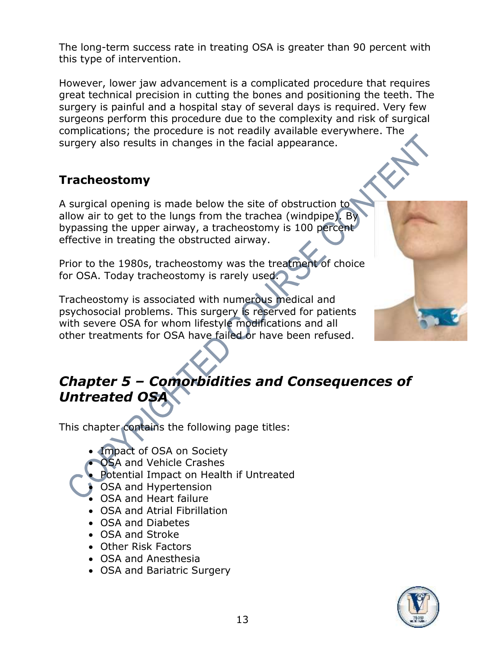The long-term success rate in treating OSA is greater than 90 percent with this type of intervention.

However, lower jaw advancement is a complicated procedure that requires great technical precision in cutting the bones and positioning the teeth. The surgery is painful and a hospital stay of several days is required. Very few surgeons perform this procedure due to the complexity and risk of surgical complications; the procedure is not readily available everywhere. The surgery also results in changes in the facial appearance.

#### **Tracheostomy**

A surgical opening is made below the site of obstruction to allow air to get to the lungs from the trachea (windpipe). By bypassing the upper airway, a tracheostomy is 100 percent effective in treating the obstructed airway.

Prior to the 1980s, tracheostomy was the treatment of choice for OSA. Today tracheostomy is rarely used.

Tracheostomy is associated with numerous medical and psychosocial problems. This surgery is reserved for patients with severe OSA for whom lifestyle modifications and all other treatments for OSA have failed or have been refused.

## *Chapter 5 – Comorbidities and Consequences of Untreated OSA*

This chapter contains the following page titles:

- Impact of OSA on Society
- OSA and Vehicle Crashes
- Potential Impact on Health if Untreated
- OSA and Hypertension
- OSA and Heart failure
- OSA and Atrial Fibrillation
- OSA and Diabetes
- OSA and Stroke
- Other Risk Factors
- OSA and Anesthesia
- OSA and Bariatric Surgery

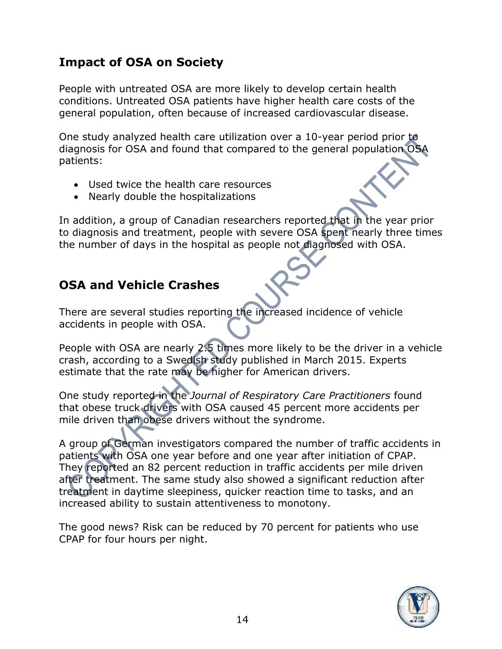#### **Impact of OSA on Society**

People with untreated OSA are more likely to develop certain health conditions. Untreated OSA patients have higher health care costs of the general population, often because of increased cardiovascular disease.

One study analyzed health care utilization over a 10-year period prior to diagnosis for OSA and found that compared to the general population OSA patients:

- Used twice the health care resources
- Nearly double the hospitalizations

In addition, a group of Canadian researchers reported that in the year prior to diagnosis and treatment, people with severe OSA spent nearly three times the number of days in the hospital as people not diagnosed with OSA.

#### **OSA and Vehicle Crashes**

There are several studies reporting the increased incidence of vehicle accidents in people with OSA.

People with OSA are nearly 2.5 times more likely to be the driver in a vehicle crash, according to a Swedish study published in March 2015. Experts estimate that the rate may be higher for American drivers.

One study reported in the *Journal of Respiratory Care Practitioners* found that obese truck drivers with OSA caused 45 percent more accidents per mile driven than obese drivers without the syndrome.

A group of German investigators compared the number of traffic accidents in patients with OSA one year before and one year after initiation of CPAP. They reported an 82 percent reduction in traffic accidents per mile driven after treatment. The same study also showed a significant reduction after treatment in daytime sleepiness, quicker reaction time to tasks, and an increased ability to sustain attentiveness to monotony.

The good news? Risk can be reduced by 70 percent for patients who use CPAP for four hours per night.

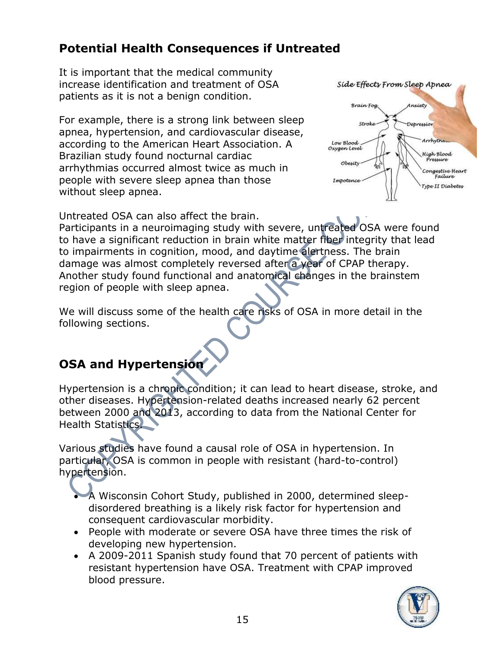#### **Potential Health Consequences if Untreated**

It is important that the medical community increase identification and treatment of OSA patients as it is not a benign condition.

For example, there is a strong link between sleep apnea, hypertension, and cardiovascular disease, according to the American Heart Association. A Brazilian study found nocturnal cardiac arrhythmias occurred almost twice as much in people with severe sleep apnea than those without sleep apnea.



Untreated OSA can also affect the brain.

Participants in a neuroimaging study with severe, untreated OSA were found to have a significant reduction in brain white matter fiber integrity that lead to impairments in cognition, mood, and daytime alertness. The brain damage was almost completely reversed after a year of CPAP therapy. Another study found functional and anatomical changes in the brainstem region of people with sleep apnea.

We will discuss some of the health care risks of OSA in more detail in the following sections.

#### **OSA and Hypertension**

Hypertension is a chronic condition; it can lead to heart disease, stroke, and other diseases. Hypertension-related deaths increased nearly 62 percent between 2000 and 2013, according to data from the National Center for Health Statistics.

Various studies have found a causal role of OSA in hypertension. In particular, OSA is common in people with resistant (hard-to-control) hypertension.

• A Wisconsin Cohort Study, published in 2000, determined sleepdisordered breathing is a likely risk factor for hypertension and consequent cardiovascular morbidity.

- People with moderate or severe OSA have three times the risk of developing new hypertension.
- A 2009-2011 Spanish study found that 70 percent of patients with resistant hypertension have OSA. Treatment with CPAP improved blood pressure.

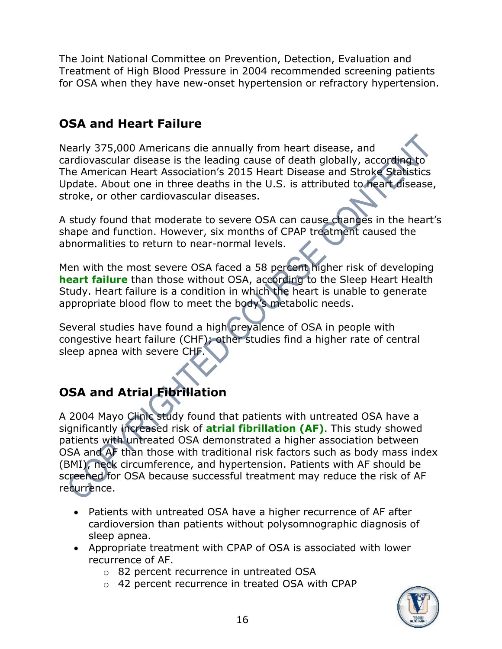The Joint National Committee on Prevention, Detection, Evaluation and Treatment of High Blood Pressure in 2004 recommended screening patients for OSA when they have new-onset hypertension or refractory hypertension.

#### **OSA and Heart Failure**

Nearly 375,000 Americans die annually from heart disease, and cardiovascular disease is the leading cause of death globally, according to The American Heart Association's 2015 Heart Disease and Stroke Statistics Update. About one in three deaths in the U.S. is attributed to heart disease, stroke, or other cardiovascular diseases.

A study found that moderate to severe OSA can cause changes in the heart's shape and function. However, six months of CPAP treatment caused the abnormalities to return to near-normal levels.

Men with the most severe OSA faced a 58 percent higher risk of developing **heart failure** than those without OSA, according to the Sleep Heart Health Study. Heart failure is a condition in which the heart is unable to generate appropriate blood flow to meet the body's metabolic needs.

Several studies have found a high prevalence of OSA in people with congestive heart failure (CHF); other studies find a higher rate of central sleep apnea with severe CHF.

### **OSA and Atrial Fibrillation**

A 2004 Mayo Clinic study found that patients with untreated OSA have a significantly increased risk of **atrial fibrillation (AF)**. This study showed patients with untreated OSA demonstrated a higher association between OSA and AF than those with traditional risk factors such as body mass index (BMI), neck circumference, and hypertension. Patients with AF should be screened for OSA because successful treatment may reduce the risk of AF recurrence.

- Patients with untreated OSA have a higher recurrence of AF after cardioversion than patients without polysomnographic diagnosis of sleep apnea.
- Appropriate treatment with CPAP of OSA is associated with lower recurrence of AF.
	- o 82 percent recurrence in untreated OSA
	- o 42 percent recurrence in treated OSA with CPAP

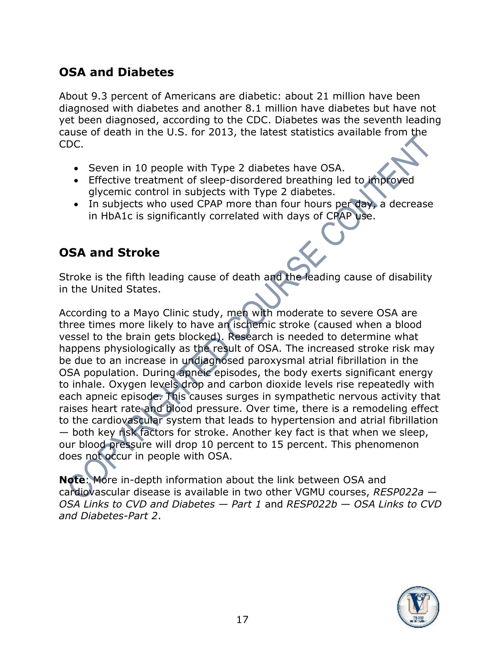#### **OSA and Diabetes**

About 9.3 percent of Americans are diabetic: about 21 million have been diagnosed with diabetes and another 8.1 million have diabetes but have not yet been diagnosed, according to the CDC. Diabetes was the seventh leading cause of death in the U.S. for 2013, the latest statistics available from the CDC.

- Seven in 10 people with Type 2 diabetes have OSA.
- Effective treatment of sleep-disordered breathing led to improved glycemic control in subjects with Type 2 diabetes.
- In subjects who used CPAP more than four hours per day, a decrease in HbA1c is significantly correlated with days of CPAP use.

#### **OSA and Stroke**

Stroke is the fifth leading cause of death and the leading cause of disability in the United States.

According to a Mayo Clinic study, men with moderate to severe OSA are three times more likely to have an ischemic stroke (caused when a blood vessel to the brain gets blocked). Research is needed to determine what happens physiologically as the result of OSA. The increased stroke risk may be due to an increase in undiagnosed paroxysmal atrial fibrillation in the OSA population. During apneic episodes, the body exerts significant energy to inhale. Oxygen levels drop and carbon dioxide levels rise repeatedly with each apneic episode. This causes surges in sympathetic nervous activity that raises heart rate and blood pressure. Over time, there is a remodeling effect to the cardiovascular system that leads to hypertension and atrial fibrillation — both key risk factors for stroke. Another key fact is that when we sleep, our blood pressure will drop 10 percent to 15 percent. This phenomenon does not occur in people with OSA.

**Note**: More in-depth information about the link between OSA and cardiovascular disease is available in two other VGMU courses, *RESP022a — OSA Links to CVD and Diabetes — Part 1* and *RESP022b — OSA Links to CVD and Diabetes-Part 2*.

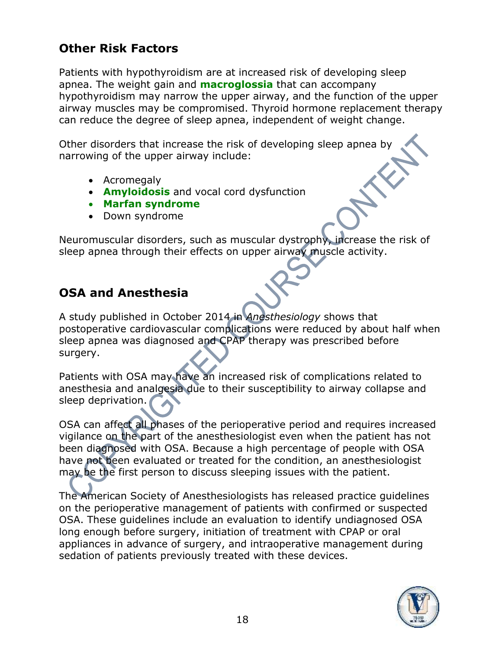#### **Other Risk Factors**

Patients with hypothyroidism are at increased risk of developing sleep apnea. The weight gain and **macroglossia** that can accompany hypothyroidism may narrow the upper airway, and the function of the upper airway muscles may be compromised. Thyroid hormone replacement therapy can reduce the degree of sleep apnea, independent of weight change.

Other disorders that increase the risk of developing sleep apnea by narrowing of the upper airway include:

- Acromegaly
- **Amyloidosis** and vocal cord dysfunction
- **Marfan syndrome**
- Down syndrome

Neuromuscular disorders, such as muscular dystrophy, increase the risk of sleep apnea through their effects on upper airway muscle activity.

#### **OSA and Anesthesia**

A study published in October 2014 in *Anesthesiology* shows that postoperative cardiovascular complications were reduced by about half when sleep apnea was diagnosed and CPAP therapy was prescribed before surgery.

Patients with OSA may have an increased risk of complications related to anesthesia and analgesia due to their susceptibility to airway collapse and sleep deprivation.

OSA can affect all phases of the perioperative period and requires increased vigilance on the part of the anesthesiologist even when the patient has not been diagnosed with OSA. Because a high percentage of people with OSA have not been evaluated or treated for the condition, an anesthesiologist may be the first person to discuss sleeping issues with the patient.

The American Society of Anesthesiologists has released practice guidelines on the perioperative management of patients with confirmed or suspected OSA. These guidelines include an evaluation to identify undiagnosed OSA long enough before surgery, initiation of treatment with CPAP or oral appliances in advance of surgery, and intraoperative management during sedation of patients previously treated with these devices.

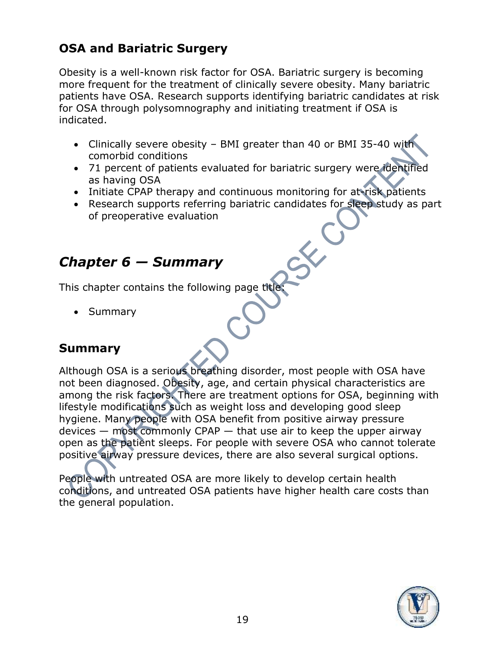#### **OSA and Bariatric Surgery**

Obesity is a well-known risk factor for OSA. Bariatric surgery is becoming more frequent for the treatment of clinically severe obesity. Many bariatric patients have OSA. Research supports identifying bariatric candidates at risk for OSA through polysomnography and initiating treatment if OSA is indicated.

- Clinically severe obesity BMI greater than 40 or BMI 35-40 with comorbid conditions
- 71 percent of patients evaluated for bariatric surgery were identified as having OSA
- Initiate CPAP therapy and continuous monitoring for at-risk patients
- Research supports referring bariatric candidates for sleep study as part of preoperative evaluation

## *Chapter 6 — Summary*

This chapter contains the following page title:

• Summary

#### **Summary**

Although OSA is a serious breathing disorder, most people with OSA have not been diagnosed. Obesity, age, and certain physical characteristics are among the risk factors. There are treatment options for OSA, beginning with lifestyle modifications such as weight loss and developing good sleep hygiene. Many people with OSA benefit from positive airway pressure  $devices - most commonly CPAP - that use air to keep the upper airway$ open as the patient sleeps. For people with severe OSA who cannot tolerate positive airway pressure devices, there are also several surgical options.

People with untreated OSA are more likely to develop certain health conditions, and untreated OSA patients have higher health care costs than the general population.

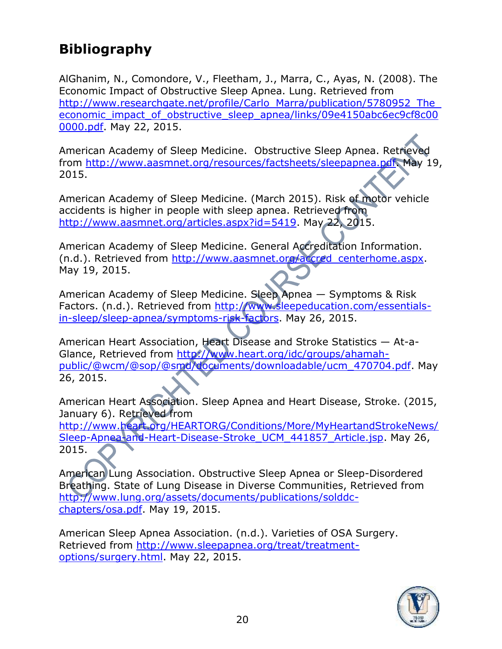## **Bibliography**

AlGhanim, N., Comondore, V., Fleetham, J., Marra, C., Ayas, N. (2008). The Economic Impact of Obstructive Sleep Apnea. Lung. Retrieved from http://www.researchgate.net/profile/Carlo\_Marra/publication/5780952\_The economic impact of obstructive sleep apnea/links/09e4150abc6ec9cf8c00 [0000.pdf.](http://www.researchgate.net/profile/Carlo_Marra/publication/5780952_The_economic_impact_of_obstructive_sleep_apnea/links/09e4150abc6ec9cf8c000000.pdf) May 22, 2015.

American Academy of Sleep Medicine. Obstructive Sleep Apnea. Retrieved from [http://www.aasmnet.org/resources/factsheets/sleepapnea.pdf.](http://www.aasmnet.org/resources/factsheets/sleepapnea.pdf) May 19, 2015.

American Academy of Sleep Medicine. (March 2015). Risk of motor vehicle accidents is higher in people with sleep apnea. Retrieved from [http://www.aasmnet.org/articles.aspx?id=5419.](http://www.aasmnet.org/articles.aspx?id=5419) May 22, 2015.

American Academy of Sleep Medicine. General Accreditation Information. (n.d.). Retrieved from [http://www.aasmnet.org/accred\\_centerhome.aspx.](http://www.aasmnet.org/accred_centerhome.aspx) May 19, 2015.

American Academy of Sleep Medicine. Sleep Apnea — Symptoms & Risk Factors. (n.d.). Retrieved from [http://www.sleepeducation.com/essentials](http://www.sleepeducation.com/essentials-in-sleep/sleep-apnea/symptoms-risk-factors)[in-sleep/sleep-apnea/symptoms-risk-factors.](http://www.sleepeducation.com/essentials-in-sleep/sleep-apnea/symptoms-risk-factors) May 26, 2015.

American Heart Association, Heart Disease and Stroke Statistics — At-a-Glance, Retrieved from [http://www.heart.org/idc/groups/ahamah](http://www.heart.org/idc/groups/ahamah-public/@wcm/@sop/@smd/documents/downloadable/ucm_470704.pdf)[public/@wcm/@sop/@smd/documents/downloadable/ucm\\_470704.pdf.](http://www.heart.org/idc/groups/ahamah-public/@wcm/@sop/@smd/documents/downloadable/ucm_470704.pdf) May 26, 2015.

American Heart Association. Sleep Apnea and Heart Disease, Stroke. (2015, January 6). Retrieved from

[http://www.heart.org/HEARTORG/Conditions/More/MyHeartandStrokeNews/](http://www.heart.org/HEARTORG/Conditions/More/MyHeartandStrokeNews/Sleep-Apnea-and-Heart-Disease-Stroke_UCM_441857_Article.jsp) [Sleep-Apnea-and-Heart-Disease-Stroke\\_UCM\\_441857\\_Article.jsp.](http://www.heart.org/HEARTORG/Conditions/More/MyHeartandStrokeNews/Sleep-Apnea-and-Heart-Disease-Stroke_UCM_441857_Article.jsp) May 26, 2015.

American Lung Association. Obstructive Sleep Apnea or Sleep-Disordered Breathing. State of Lung Disease in Diverse Communities, Retrieved from [http://www.lung.org/assets/documents/publications/solddc](http://www.lung.org/assets/documents/publications/solddc-chapters/osa.pdf)[chapters/osa.pdf.](http://www.lung.org/assets/documents/publications/solddc-chapters/osa.pdf) May 19, 2015.

American Sleep Apnea Association. (n.d.). Varieties of OSA Surgery. Retrieved from [http://www.sleepapnea.org/treat/treatment](http://www.sleepapnea.org/treat/treatment-options/surgery.html)[options/surgery.html.](http://www.sleepapnea.org/treat/treatment-options/surgery.html) May 22, 2015.

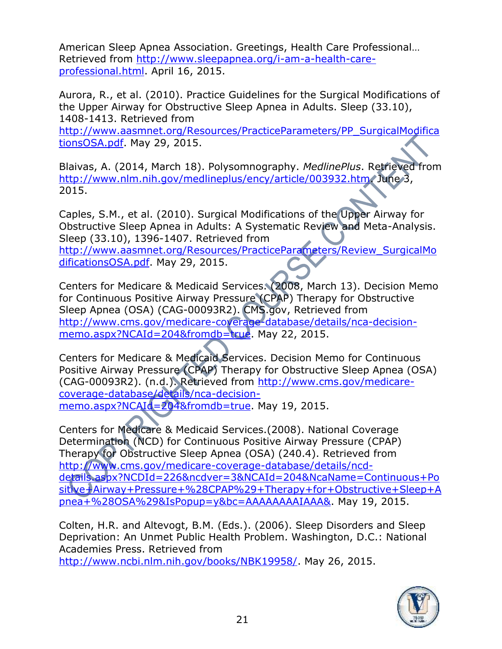American Sleep Apnea Association. Greetings, Health Care Professional… Retrieved from [http://www.sleepapnea.org/i-am-a-health-care](http://www.sleepapnea.org/i-am-a-health-care-professional.html)[professional.html.](http://www.sleepapnea.org/i-am-a-health-care-professional.html) April 16, 2015.

Aurora, R., et al. (2010). Practice Guidelines for the Surgical Modifications of the Upper Airway for Obstructive Sleep Apnea in Adults. Sleep (33.10), 1408-1413. Retrieved from

[http://www.aasmnet.org/Resources/PracticeParameters/PP\\_SurgicalModifica](http://www.aasmnet.org/Resources/PracticeParameters/PP_SurgicalModificationsOSA.pdf) [tionsOSA.pdf.](http://www.aasmnet.org/Resources/PracticeParameters/PP_SurgicalModificationsOSA.pdf) May 29, 2015.

Blaivas, A. (2014, March 18). Polysomnography. *MedlinePlus*. Retrieved from http://www.nlm.nih.gov/medlineplus/ency/article/003932.htm/June 3, 2015.

Caples, S.M., et al. (2010). Surgical Modifications of the Upper Airway for Obstructive Sleep Apnea in Adults: A Systematic Review and Meta-Analysis. Sleep (33.10), 1396-1407. Retrieved from [http://www.aasmnet.org/Resources/PracticeParameters/Review\\_SurgicalMo](http://www.aasmnet.org/Resources/PracticeParameters/Review_SurgicalModificationsOSA.pdf) [dificationsOSA.pdf.](http://www.aasmnet.org/Resources/PracticeParameters/Review_SurgicalModificationsOSA.pdf) May 29, 2015.

Centers for Medicare & Medicaid Services. (2008, March 13). Decision Memo for Continuous Positive Airway Pressure (CPAP) Therapy for Obstructive Sleep Apnea (OSA) (CAG-00093R2). CMS.gov, Retrieved from [http://www.cms.gov/medicare-coverage-database/details/nca-decision](http://www.cms.gov/medicare-coverage-database/details/nca-decision-memo.aspx?NCAId=204&fromdb=true)[memo.aspx?NCAId=204&fromdb=true.](http://www.cms.gov/medicare-coverage-database/details/nca-decision-memo.aspx?NCAId=204&fromdb=true) May 22, 2015.

Centers for Medicare & Medicaid Services. Decision Memo for Continuous Positive Airway Pressure (CPAP) Therapy for Obstructive Sleep Apnea (OSA) (CAG-00093R2). (n.d.). Retrieved from [http://www.cms.gov/medicare](http://www.cms.gov/medicare-coverage-database/details/nca-decision-memo.aspx?NCAId=204&fromdb=true)[coverage-database/details/nca-decision](http://www.cms.gov/medicare-coverage-database/details/nca-decision-memo.aspx?NCAId=204&fromdb=true)[memo.aspx?NCAId=204&fromdb=true.](http://www.cms.gov/medicare-coverage-database/details/nca-decision-memo.aspx?NCAId=204&fromdb=true) May 19, 2015.

Centers for Medicare & Medicaid Services.(2008). National Coverage Determination (NCD) for Continuous Positive Airway Pressure (CPAP) Therapy for Obstructive Sleep Apnea (OSA) (240.4). Retrieved from [http://www.cms.gov/medicare-coverage-database/details/ncd](http://www.cms.gov/medicare-coverage-database/details/ncd-details.aspx?NCDId=226&ncdver=3&NCAId=204&NcaName=Continuous+Positive+Airway+Pressure+%28CPAP%29+Therapy+for+Obstructive+Sleep+Apnea+%28OSA%29&IsPopup=y&bc=AAAAAAAAIAAA&)[details.aspx?NCDId=226&ncdver=3&NCAId=204&NcaName=Continuous+Po](http://www.cms.gov/medicare-coverage-database/details/ncd-details.aspx?NCDId=226&ncdver=3&NCAId=204&NcaName=Continuous+Positive+Airway+Pressure+%28CPAP%29+Therapy+for+Obstructive+Sleep+Apnea+%28OSA%29&IsPopup=y&bc=AAAAAAAAIAAA&) [sitive+Airway+Pressure+%28CPAP%29+Therapy+for+Obstructive+Sleep+A](http://www.cms.gov/medicare-coverage-database/details/ncd-details.aspx?NCDId=226&ncdver=3&NCAId=204&NcaName=Continuous+Positive+Airway+Pressure+%28CPAP%29+Therapy+for+Obstructive+Sleep+Apnea+%28OSA%29&IsPopup=y&bc=AAAAAAAAIAAA&) [pnea+%28OSA%29&IsPopup=y&bc=AAAAAAAAIAAA&.](http://www.cms.gov/medicare-coverage-database/details/ncd-details.aspx?NCDId=226&ncdver=3&NCAId=204&NcaName=Continuous+Positive+Airway+Pressure+%28CPAP%29+Therapy+for+Obstructive+Sleep+Apnea+%28OSA%29&IsPopup=y&bc=AAAAAAAAIAAA&) May 19, 2015.

Colten, H.R. and Altevogt, B.M. (Eds.). (2006). Sleep Disorders and Sleep Deprivation: An Unmet Public Health Problem. Washington, D.C.: National Academies Press. Retrieved from

[http://www.ncbi.nlm.nih.gov/books/NBK19958/.](http://www.ncbi.nlm.nih.gov/books/NBK19958/) May 26, 2015.

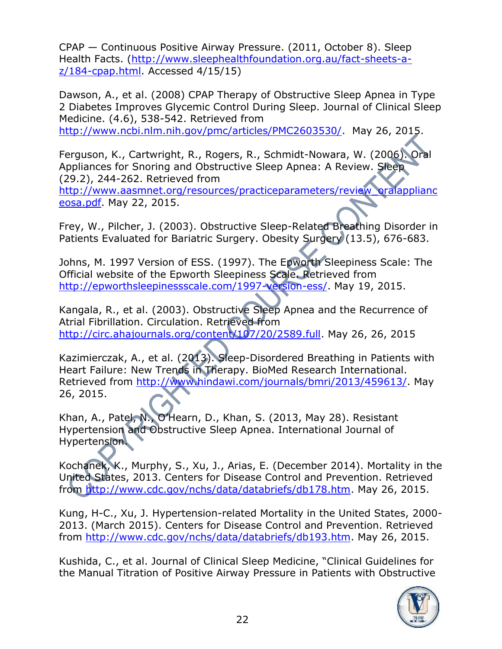CPAP — Continuous Positive Airway Pressure. (2011, October 8). Sleep Health Facts. [\(http://www.sleephealthfoundation.org.au/fact-sheets-a](http://www.sleephealthfoundation.org.au/fact-sheets-a-z/184-cpap.html)[z/184-cpap.html.](http://www.sleephealthfoundation.org.au/fact-sheets-a-z/184-cpap.html) Accessed 4/15/15)

Dawson, A., et al. (2008) CPAP Therapy of Obstructive Sleep Apnea in Type 2 Diabetes Improves Glycemic Control During Sleep. Journal of Clinical Sleep Medicine. (4.6), 538-542. Retrieved from

[http://www.ncbi.nlm.nih.gov/pmc/articles/PMC2603530/.](http://www.ncbi.nlm.nih.gov/pmc/articles/PMC2603530/) May 26, 2015.

Ferguson, K., Cartwright, R., Rogers, R., Schmidt-Nowara, W. (2006). Oral Appliances for Snoring and Obstructive Sleep Apnea: A Review. Sleep (29.2), 244-262. Retrieved from

[http://www.aasmnet.org/resources/practiceparameters/review\\_oralapplianc](http://www.aasmnet.org/resources/practiceparameters/review_oralapplianceosa.pdf) [eosa.pdf.](http://www.aasmnet.org/resources/practiceparameters/review_oralapplianceosa.pdf) May 22, 2015.

Frey, W., Pilcher, J. (2003). Obstructive Sleep-Related Breathing Disorder in Patients Evaluated for Bariatric Surgery. Obesity Surgery (13.5), 676-683.

Johns, M. 1997 Version of ESS. (1997). The Epworth Sleepiness Scale: The Official website of the Epworth Sleepiness Scale. Retrieved from [http://epworthsleepinessscale.com/1997-version-ess/.](http://epworthsleepinessscale.com/1997-version-ess/) May 19, 2015.

Kangala, R., et al. (2003). Obstructive Sleep Apnea and the Recurrence of Atrial Fibrillation. Circulation. Retrieved from [http://circ.ahajournals.org/content/107/20/2589.full.](http://circ.ahajournals.org/content/107/20/2589.full) May 26, 26, 2015

Kazimierczak, A., et al. (2013). Sleep-Disordered Breathing in Patients with Heart Failure: New Trends in Therapy. BioMed Research International. Retrieved from [http://www.hindawi.com/journals/bmri/2013/459613/.](http://www.hindawi.com/journals/bmri/2013/459613/) May 26, 2015.

Khan, A., Patel, N., O'Hearn, D., Khan, S. (2013, May 28). Resistant Hypertension and Obstructive Sleep Apnea. International Journal of Hypertension.

Kochanek, K., Murphy, S., Xu, J., Arias, E. (December 2014). Mortality in the United States, 2013. Centers for Disease Control and Prevention. Retrieved from [http://www.cdc.gov/nchs/data/databriefs/db178.htm.](http://www.cdc.gov/nchs/data/databriefs/db178.htm) May 26, 2015.

Kung, H-C., Xu, J. Hypertension-related Mortality in the United States, 2000- 2013. (March 2015). Centers for Disease Control and Prevention. Retrieved from [http://www.cdc.gov/nchs/data/databriefs/db193.htm.](http://www.cdc.gov/nchs/data/databriefs/db193.htm) May 26, 2015.

Kushida, C., et al. Journal of Clinical Sleep Medicine, "Clinical Guidelines for the Manual Titration of Positive Airway Pressure in Patients with Obstructive

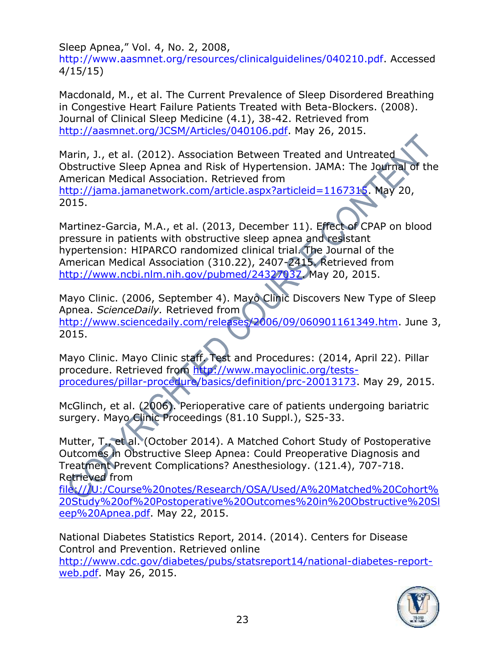Sleep Apnea," Vol. 4, No. 2, 2008,

[http://www.aasmnet.org/resources/clinicalguidelines/040210.pdf.](http://www.aasmnet.org/resources/clinicalguidelines/040210.pdf) Accessed 4/15/15)

Macdonald, M., et al. The Current Prevalence of Sleep Disordered Breathing in Congestive Heart Failure Patients Treated with Beta-Blockers. (2008). Journal of Clinical Sleep Medicine (4.1), 38-42. Retrieved from [http://aasmnet.org/JCSM/Articles/040106.pdf.](http://aasmnet.org/JCSM/Articles/040106.pdf) May 26, 2015.

Marin, J., et al. (2012). Association Between Treated and Untreated Obstructive Sleep Apnea and Risk of Hypertension. JAMA: The Journal of the American Medical Association. Retrieved from [http://jama.jamanetwork.com/article.aspx?articleid=1167315.](http://jama.jamanetwork.com/article.aspx?articleid=1167315) May 20, 2015.

Martinez-Garcia, M.A., et al. (2013, December 11). Effect of CPAP on blood pressure in patients with obstructive sleep apnea and resistant hypertension: HIPARCO randomized clinical trial. The Journal of the American Medical Association (310.22), 2407-2415. Retrieved from [http://www.ncbi.nlm.nih.gov/pubmed/24327037.](http://www.ncbi.nlm.nih.gov/pubmed/24327037) May 20, 2015.

Mayo Clinic. (2006, September 4). Mayo Clinic Discovers New Type of Sleep Apnea. *ScienceDaily.* Retrieved from [http://www.sciencedaily.com/releases/2006/09/060901161349.htm.](http://www.sciencedaily.com/releases/2006/09/060901161349.htm) June 3, 2015.

Mayo Clinic. Mayo Clinic staff. Test and Procedures: (2014, April 22). Pillar procedure. Retrieved from [http://www.mayoclinic.org/tests](http://www.mayoclinic.org/tests-procedures/pillar-procedure/basics/definition/prc-20013173)[procedures/pillar-procedure/basics/definition/prc-20013173.](http://www.mayoclinic.org/tests-procedures/pillar-procedure/basics/definition/prc-20013173) May 29, 2015.

McGlinch, et al. (2006). Perioperative care of patients undergoing bariatric surgery. Mayo Clinic Proceedings (81.10 Suppl.), S25-33.

Mutter, T., et al. (October 2014). A Matched Cohort Study of Postoperative Outcomes in Obstructive Sleep Apnea: Could Preoperative Diagnosis and Treatment Prevent Complications? Anesthesiology. (121.4), 707-718. Retrieved from

[file:///U:/Course%20notes/Research/OSA/Used/A%20Matched%20Cohort%](file:///U:/Course%20notes/Research/OSA/Used/A%20Matched%20Cohort%20Study%20of%20Postoperative%20Outcomes%20in%20Obstructive%20Sleep%20Apnea.pdf) [20Study%20of%20Postoperative%20Outcomes%20in%20Obstructive%20Sl](file:///U:/Course%20notes/Research/OSA/Used/A%20Matched%20Cohort%20Study%20of%20Postoperative%20Outcomes%20in%20Obstructive%20Sleep%20Apnea.pdf) [eep%20Apnea.pdf.](file:///U:/Course%20notes/Research/OSA/Used/A%20Matched%20Cohort%20Study%20of%20Postoperative%20Outcomes%20in%20Obstructive%20Sleep%20Apnea.pdf) May 22, 2015.

National Diabetes Statistics Report, 2014. (2014). Centers for Disease Control and Prevention. Retrieved online [http://www.cdc.gov/diabetes/pubs/statsreport14/national-diabetes-report](http://www.cdc.gov/diabetes/pubs/statsreport14/national-diabetes-report-web.pdf)[web.pdf.](http://www.cdc.gov/diabetes/pubs/statsreport14/national-diabetes-report-web.pdf) May 26, 2015.

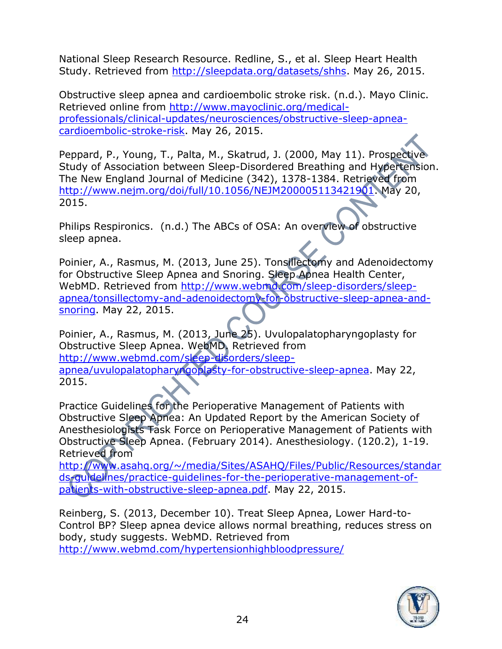National Sleep Research Resource. Redline, S., et al. Sleep Heart Health Study. Retrieved from [http://sleepdata.org/datasets/shhs.](http://sleepdata.org/datasets/shhs) May 26, 2015.

Obstructive sleep apnea and cardioembolic stroke risk. (n.d.). Mayo Clinic. Retrieved online from [http://www.mayoclinic.org/medical](http://www.mayoclinic.org/medical-professionals/clinical-updates/neurosciences/obstructive-sleep-apnea-cardioembolic-stroke-risk)[professionals/clinical-updates/neurosciences/obstructive-sleep-apnea](http://www.mayoclinic.org/medical-professionals/clinical-updates/neurosciences/obstructive-sleep-apnea-cardioembolic-stroke-risk)[cardioembolic-stroke-risk.](http://www.mayoclinic.org/medical-professionals/clinical-updates/neurosciences/obstructive-sleep-apnea-cardioembolic-stroke-risk) May 26, 2015.

Peppard, P., Young, T., Palta, M., Skatrud, J. (2000, May 11). Prospective Study of Association between Sleep-Disordered Breathing and Hypertension. The New England Journal of Medicine (342), 1378-1384. Retrieved from [http://www.nejm.org/doi/full/10.1056/NEJM200005113421901.](http://www.nejm.org/doi/full/10.1056/NEJM200005113421901) May 20, 2015.

Philips Respironics. (n.d.) The ABCs of OSA: An overview of obstructive sleep apnea.

Poinier, A., Rasmus, M. (2013, June 25). Tonsillectomy and Adenoidectomy for Obstructive Sleep Apnea and Snoring. Sleep Apnea Health Center, WebMD. Retrieved from [http://www.webmd.com/sleep-disorders/sleep](http://www.webmd.com/sleep-disorders/sleep-apnea/tonsillectomy-and-adenoidectomy-for-obstructive-sleep-apnea-and-snoring)[apnea/tonsillectomy-and-adenoidectomy-for-obstructive-sleep-apnea-and](http://www.webmd.com/sleep-disorders/sleep-apnea/tonsillectomy-and-adenoidectomy-for-obstructive-sleep-apnea-and-snoring)[snoring.](http://www.webmd.com/sleep-disorders/sleep-apnea/tonsillectomy-and-adenoidectomy-for-obstructive-sleep-apnea-and-snoring) May 22, 2015.

Poinier, A., Rasmus, M. (2013, June 25). Uvulopalatopharyngoplasty for Obstructive Sleep Apnea. WebMD. Retrieved from [http://www.webmd.com/sleep-disorders/sleep](http://www.webmd.com/sleep-disorders/sleep-apnea/uvulopalatopharyngoplasty-for-obstructive-sleep-apnea)[apnea/uvulopalatopharyngoplasty-for-obstructive-sleep-apnea.](http://www.webmd.com/sleep-disorders/sleep-apnea/uvulopalatopharyngoplasty-for-obstructive-sleep-apnea) May 22, 2015.

Practice Guidelines for the Perioperative Management of Patients with Obstructive Sleep Apnea: An Updated Report by the American Society of Anesthesiologists Task Force on Perioperative Management of Patients with Obstructive Sleep Apnea. (February 2014). Anesthesiology. (120.2), 1-19. Retrieved from

[http://www.asahq.org/~/media/Sites/ASAHQ/Files/Public/Resources/standar](http://www.asahq.org/~/media/Sites/ASAHQ/Files/Public/Resources/standards-guidelines/practice-guidelines-for-the-perioperative-management-of-patients-with-obstructive-sleep-apnea.pdf) [ds-guidelines/practice-guidelines-for-the-perioperative-management-of](http://www.asahq.org/~/media/Sites/ASAHQ/Files/Public/Resources/standards-guidelines/practice-guidelines-for-the-perioperative-management-of-patients-with-obstructive-sleep-apnea.pdf)[patients-with-obstructive-sleep-apnea.pdf.](http://www.asahq.org/~/media/Sites/ASAHQ/Files/Public/Resources/standards-guidelines/practice-guidelines-for-the-perioperative-management-of-patients-with-obstructive-sleep-apnea.pdf) May 22, 2015.

Reinberg, S. (2013, December 10). Treat Sleep Apnea, Lower Hard-to-Control BP? Sleep apnea device allows normal breathing, reduces stress on body, study suggests. WebMD. Retrieved from <http://www.webmd.com/hypertensionhighbloodpressure/>